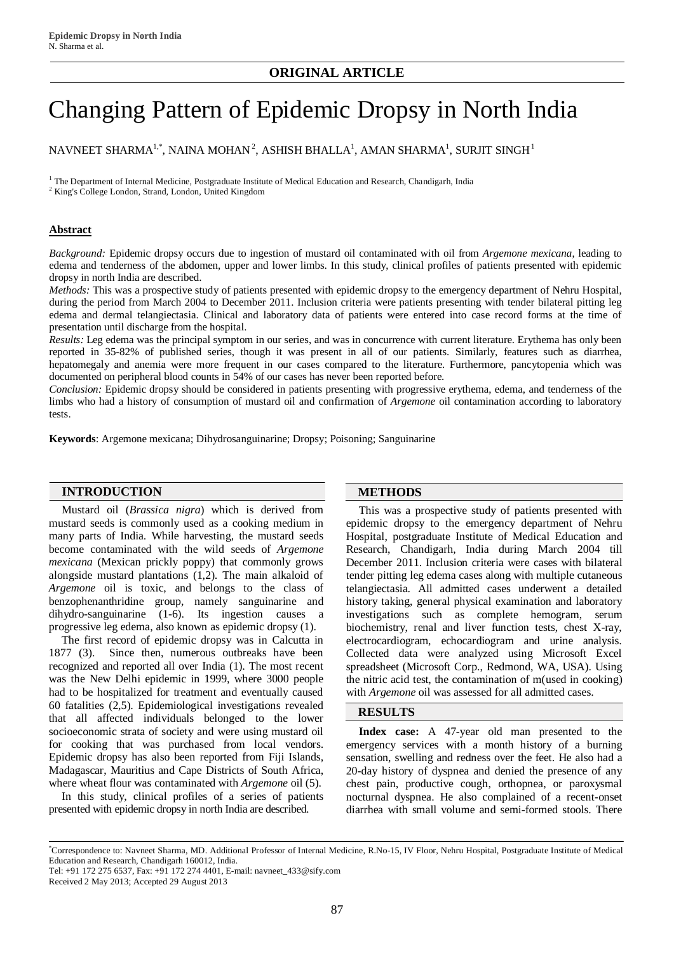# Changing Pattern of Epidemic Dropsy in North India

NAVNEET SHARMA $^{1,\ast}$ , NAINA MOHAN $^2$ , ASHISH BHALLA $^1$ , AMAN SHARMA $^1$ , SURJIT SINGH $^1$ 

 $1$  The Department of Internal Medicine, Postgraduate Institute of Medical Education and Research, Chandigarh, India

<sup>2</sup> King's College London, Strand, London, United Kingdom

## **Abstract**

*Background:* Epidemic dropsy occurs due to ingestion of mustard oil contaminated with oil from *Argemone mexicana*, leading to edema and tenderness of the abdomen, upper and lower limbs. In this study, clinical profiles of patients presented with epidemic dropsy in north India are described.

*Methods:* This was a prospective study of patients presented with epidemic dropsy to the emergency department of Nehru Hospital, during the period from March 2004 to December 2011. Inclusion criteria were patients presenting with tender bilateral pitting leg edema and dermal telangiectasia. Clinical and laboratory data of patients were entered into case record forms at the time of presentation until discharge from the hospital.

*Results:* Leg edema was the principal symptom in our series, and was in concurrence with current literature. Erythema has only been reported in 35-82% of published series, though it was present in all of our patients. Similarly, features such as diarrhea, hepatomegaly and anemia were more frequent in our cases compared to the literature. Furthermore, pancytopenia which was documented on peripheral blood counts in 54% of our cases has never been reported before.

*Conclusion:* Epidemic dropsy should be considered in patients presenting with progressive erythema, edema, and tenderness of the limbs who had a history of consumption of mustard oil and confirmation of *Argemone* oil contamination according to laboratory tests.

**Keywords**: Argemone mexicana; Dihydrosanguinarine; Dropsy; Poisoning; Sanguinarine

# **INTRODUCTION METHODS**

Mustard oil (*Brassica nigra*) which is derived from mustard seeds is commonly used as a cooking medium in many parts of India. While harvesting, the mustard seeds become contaminated with the wild seeds of *Argemone mexicana* (Mexican prickly poppy) that commonly grows alongside mustard plantations (1,2). The main alkaloid of *Argemone* oil is toxic, and belongs to the class of benzophenanthridine group, namely sanguinarine and dihydro-sanguinarine (1-6). Its ingestion causes a progressive leg edema, also known as epidemic dropsy (1).

The first record of epidemic dropsy was in Calcutta in 1877 (3). Since then, numerous outbreaks have been recognized and reported all over India (1). The most recent was the New Delhi epidemic in 1999, where 3000 people had to be hospitalized for treatment and eventually caused 60 fatalities (2,5). Epidemiological investigations revealed that all affected individuals belonged to the lower socioeconomic strata of society and were using mustard oil for cooking that was purchased from local vendors. Epidemic dropsy has also been reported from Fiji Islands, Madagascar, Mauritius and Cape Districts of South Africa, where wheat flour was contaminated with *Argemone* oil (5).

In this study, clinical profiles of a series of patients presented with epidemic dropsy in north India are described.

This was a prospective study of patients presented with epidemic dropsy to the emergency department of Nehru Hospital, postgraduate Institute of Medical Education and Research, Chandigarh, India during March 2004 till December 2011. Inclusion criteria were cases with bilateral tender pitting leg edema cases along with multiple cutaneous telangiectasia. All admitted cases underwent a detailed history taking, general physical examination and laboratory investigations such as complete hemogram, serum biochemistry, renal and liver function tests, chest X-ray, electrocardiogram, echocardiogram and urine analysis. Collected data were analyzed using Microsoft Excel spreadsheet (Microsoft Corp., Redmond, WA, USA). Using the nitric acid test, the contamination of m(used in cooking) with *Argemone* oil was assessed for all admitted cases.

### **RESULTS**

**Index case:** A 47-year old man presented to the emergency services with a month history of a burning sensation, swelling and redness over the feet. He also had a 20-day history of dyspnea and denied the presence of any chest pain, productive cough, orthopnea, or paroxysmal nocturnal dyspnea. He also complained of a recent-onset diarrhea with small volume and semi-formed stools. There

<sup>\*</sup>Correspondence to: Navneet Sharma, MD. Additional Professor of Internal Medicine, R.No-15, IV Floor, Nehru Hospital, Postgraduate Institute of Medical Education and Research, Chandigarh 160012, India.

Tel: +91 172 275 6537, Fax: +91 172 274 4401, E-mail: [navneet\\_433@sify.com](mailto:navneet_433@sify.com) Received 2 May 2013; Accepted 29 August 2013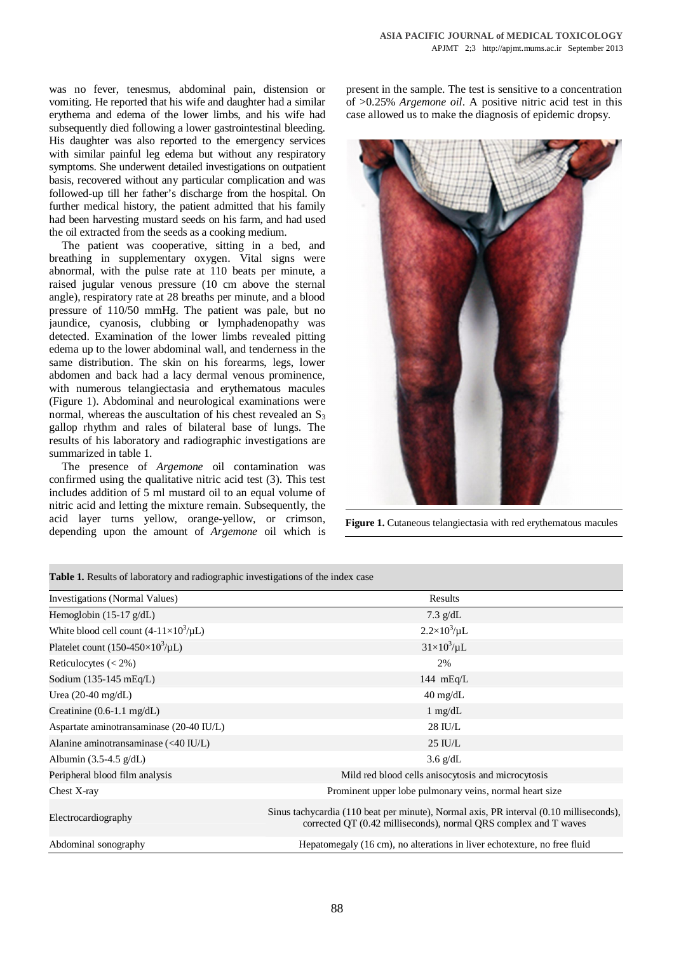was no fever, tenesmus, abdominal pain, distension or vomiting. He reported that his wife and daughter had a similar erythema and edema of the lower limbs, and his wife had subsequently died following a lower gastrointestinal bleeding. His daughter was also reported to the emergency services with similar painful leg edema but without any respiratory symptoms. She underwent detailed investigations on outpatient basis, recovered without any particular complication and was followed-up till her father's discharge from the hospital. On further medical history, the patient admitted that his family had been harvesting mustard seeds on his farm, and had used the oil extracted from the seeds as a cooking medium.

The patient was cooperative, sitting in a bed, and breathing in supplementary oxygen. Vital signs were abnormal, with the pulse rate at 110 beats per minute, a raised jugular venous pressure (10 cm above the sternal angle), respiratory rate at 28 breaths per minute, and a blood pressure of 110/50 mmHg. The patient was pale, but no jaundice, cyanosis, clubbing or lymphadenopathy was detected. Examination of the lower limbs revealed pitting edema up to the lower abdominal wall, and tenderness in the same distribution. The skin on his forearms, legs, lower abdomen and back had a lacy dermal venous prominence, with numerous telangiectasia and erythematous macules (Figure 1). Abdominal and neurological examinations were normal, whereas the auscultation of his chest revealed an  $S_3$ gallop rhythm and rales of bilateral base of lungs. The results of his laboratory and radiographic investigations are summarized in table 1.

The presence of *Argemone* oil contamination was confirmed using the qualitative nitric acid test (3). This test includes addition of 5 ml mustard oil to an equal volume of nitric acid and letting the mixture remain. Subsequently, the acid layer turns yellow, orange-yellow, or crimson, depending upon the amount of *Argemone* oil which is present in the sample. The test is sensitive to a concentration of >0.25% *Argemone oil*. A positive nitric acid test in this case allowed us to make the diagnosis of epidemic dropsy.



**Figure 1.** Cutaneous telangiectasia with red erythematous macules

| <b>Table 1.</b> Kesults of faboratory and radiographic investigations of the findex case |                                                                                                                                                            |  |  |  |  |
|------------------------------------------------------------------------------------------|------------------------------------------------------------------------------------------------------------------------------------------------------------|--|--|--|--|
| Investigations (Normal Values)                                                           | Results                                                                                                                                                    |  |  |  |  |
| Hemoglobin $(15-17 \text{ g/dL})$                                                        | 7.3 $g/dL$                                                                                                                                                 |  |  |  |  |
| White blood cell count $(4-11\times10^3/\mu L)$                                          | $2.2 \times 10^3/\mu L$                                                                                                                                    |  |  |  |  |
| Platelet count (150-450 $\times$ 10 <sup>3</sup> / $\mu$ L)                              | $31\times10^3/\mu L$                                                                                                                                       |  |  |  |  |
| Reticulocytes $(< 2\%)$                                                                  | 2%                                                                                                                                                         |  |  |  |  |
| Sodium $(135-145 \text{ mEq/L})$                                                         | 144 $mEq/L$                                                                                                                                                |  |  |  |  |
| Urea $(20-40 \text{ mg/dL})$                                                             | $40 \text{ mg/dL}$                                                                                                                                         |  |  |  |  |
| Creatinine $(0.6-1.1 \text{ mg/dL})$                                                     | $1 \text{ mg/dL}$                                                                                                                                          |  |  |  |  |
| Aspartate aminotransaminase (20-40 IU/L)                                                 | 28 IU/L                                                                                                                                                    |  |  |  |  |
| Alanine aminotransaminase $(40 IU/L)$                                                    | $25$ IU/L                                                                                                                                                  |  |  |  |  |
| Albumin $(3.5-4.5 \text{ g/dL})$                                                         | $3.6 \text{ g/dL}$                                                                                                                                         |  |  |  |  |
| Peripheral blood film analysis                                                           | Mild red blood cells anisocytosis and microcytosis                                                                                                         |  |  |  |  |
| Chest X-ray                                                                              | Prominent upper lobe pulmonary veins, normal heart size                                                                                                    |  |  |  |  |
| Electrocardiography                                                                      | Sinus tachycardia (110 beat per minute), Normal axis, PR interval (0.10 milliseconds),<br>corrected QT (0.42 milliseconds), normal QRS complex and T waves |  |  |  |  |
| Abdominal sonography                                                                     | Hepatomegaly (16 cm), no alterations in liver echotexture, no free fluid                                                                                   |  |  |  |  |

**Table 1.** Results of laboratory and radiographic investigations of the index case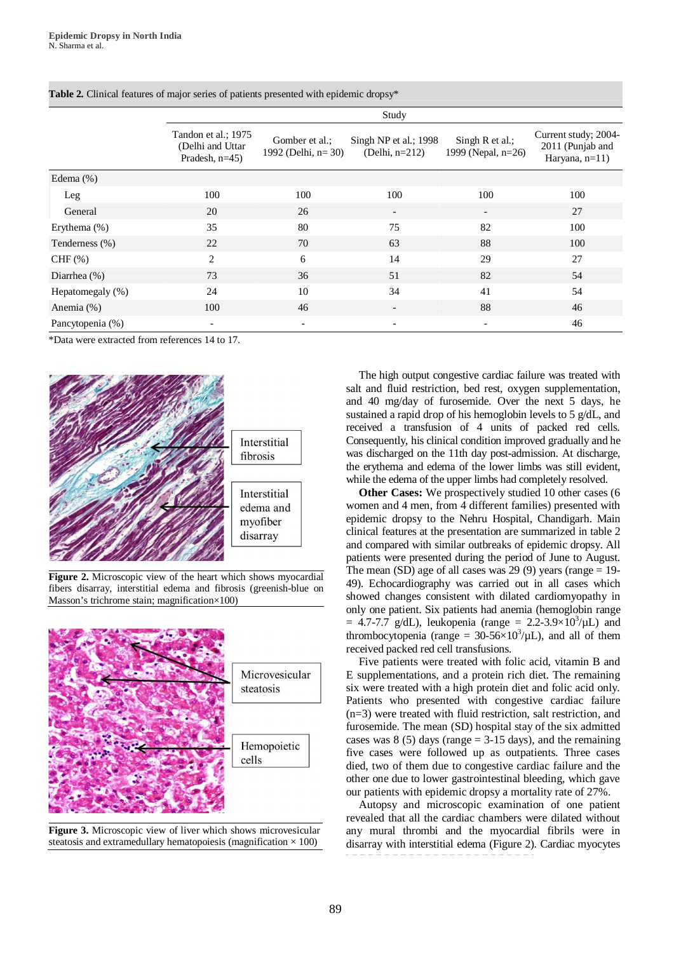|                  | Study                                                         |                                         |                                            |                                         |                                                               |  |
|------------------|---------------------------------------------------------------|-----------------------------------------|--------------------------------------------|-----------------------------------------|---------------------------------------------------------------|--|
|                  | Tandon et al.; 1975<br>(Delhi and Uttar)<br>Pradesh, $n=45$ ) | Gomber et al.:<br>1992 (Delhi, $n=30$ ) | Singh NP et al.; 1998<br>(Delhi, $n=212$ ) | Singh $R$ et al.;<br>1999 (Nepal, n=26) | Current study; 2004-<br>2011 (Punjab and<br>Haryana, $n=11$ ) |  |
| Edema $(\%)$     |                                                               |                                         |                                            |                                         |                                                               |  |
| Leg              | 100                                                           | 100                                     | 100                                        | 100                                     | 100                                                           |  |
| General          | 20                                                            | 26                                      | $\overline{\phantom{0}}$                   | $\overline{\phantom{a}}$                | 27                                                            |  |
| Erythema (%)     | 35                                                            | 80                                      | 75                                         | 82                                      | 100                                                           |  |
| Tenderness (%)   | 22                                                            | 70                                      | 63                                         | 88                                      | 100                                                           |  |
| CHF $(\% )$      | $\overline{c}$                                                | 6                                       | 14                                         | 29                                      | 27                                                            |  |
| Diarrhea $(\%)$  | 73                                                            | 36                                      | 51                                         | 82                                      | 54                                                            |  |
| Hepatomegaly (%) | 24                                                            | 10                                      | 34                                         | 41                                      | 54                                                            |  |
| Anemia $(\%)$    | 100                                                           | 46                                      | $\overline{\phantom{a}}$                   | 88                                      | 46                                                            |  |
| Pancytopenia (%) | $\overline{\phantom{a}}$                                      | $\overline{\phantom{a}}$                |                                            | $\overline{\phantom{a}}$                | 46                                                            |  |

**Table 2.** Clinical features of major series of patients presented with epidemic dropsy\*

\*Data were extracted from references 14 to 17.



**Figure 2.** Microscopic view of the heart which shows myocardial fibers disarray, interstitial edema and fibrosis (greenish-blue on Masson's trichrome stain; magnification×100)



**Figure 3.** Microscopic view of liver which shows microvesicular steatosis and extramedullary hematopoiesis (magnification  $\times$  100)

The high output congestive cardiac failure was treated with salt and fluid restriction, bed rest, oxygen supplementation, and 40 mg/day of furosemide. Over the next 5 days, he sustained a rapid drop of his hemoglobin levels to 5 g/dL, and received a transfusion of 4 units of packed red cells. Consequently, his clinical condition improved gradually and he was discharged on the 11th day post-admission. At discharge, the erythema and edema of the lower limbs was still evident, while the edema of the upper limbs had completely resolved.

**Other Cases:** We prospectively studied 10 other cases (6 women and 4 men, from 4 different families) presented with epidemic dropsy to the Nehru Hospital, Chandigarh. Main clinical features at the presentation are summarized in table 2 and compared with similar outbreaks of epidemic dropsy. All patients were presented during the period of June to August. The mean (SD) age of all cases was 29 (9) years (range  $= 19$ -49). Echocardiography was carried out in all cases which showed changes consistent with dilated cardiomyopathy in only one patient. Six patients had anemia (hemoglobin range  $= 4.7$ -7.7 g/dL), leukopenia (range  $= 2.2$ -3.9×10<sup>3</sup>/µL) and thrombocytopenia (range =  $30-56\times10^3/\mu L$ ), and all of them received packed red cell transfusions.

Five patients were treated with folic acid, vitamin B and E supplementations, and a protein rich diet. The remaining six were treated with a high protein diet and folic acid only. Patients who presented with congestive cardiac failure (n=3) were treated with fluid restriction, salt restriction, and furosemide. The mean (SD) hospital stay of the six admitted cases was  $8(5)$  days (range  $= 3-15$  days), and the remaining five cases were followed up as outpatients. Three cases died, two of them due to congestive cardiac failure and the other one due to lower gastrointestinal bleeding, which gave our patients with epidemic dropsy a mortality rate of 27%.

Autopsy and microscopic examination of one patient revealed that all the cardiac chambers were dilated without any mural thrombi and the myocardial fibrils were in disarray with interstitial edema (Figure 2). Cardiac myocytes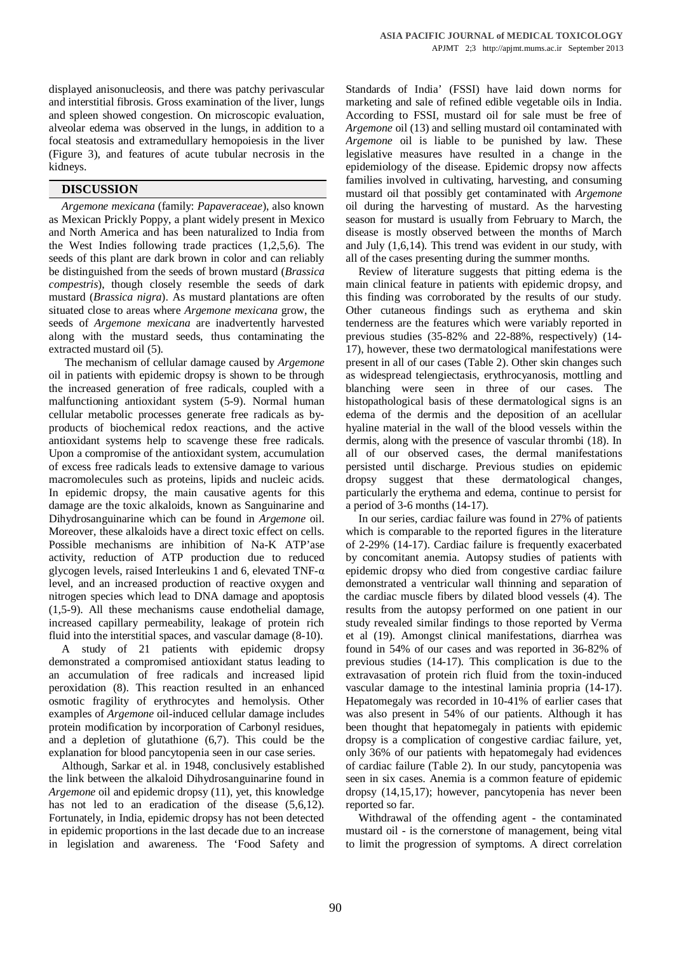displayed anisonucleosis, and there was patchy perivascular and interstitial fibrosis. Gross examination of the liver, lungs and spleen showed congestion. On microscopic evaluation, alveolar edema was observed in the lungs, in addition to a focal steatosis and extramedullary hemopoiesis in the liver (Figure 3), and features of acute tubular necrosis in the kidneys.

# **DISCUSSION**

*Argemone mexicana* (family: *Papaveraceae*), also known as Mexican Prickly Poppy, a plant widely present in Mexico and North America and has been naturalized to India from the West Indies following trade practices (1,2,5,6). The seeds of this plant are dark brown in color and can reliably be distinguished from the seeds of brown mustard (*Brassica compestris*), though closely resemble the seeds of dark mustard (*Brassica nigra*). As mustard plantations are often situated close to areas where *Argemone mexicana* grow, the seeds of *Argemone mexicana* are inadvertently harvested along with the mustard seeds, thus contaminating the extracted mustard oil (5).

 The mechanism of cellular damage caused by *Argemone* oil in patients with epidemic dropsy is shown to be through the increased generation of free radicals, coupled with a malfunctioning antioxidant system (5-9). Normal human cellular metabolic processes generate free radicals as byproducts of biochemical redox reactions, and the active antioxidant systems help to scavenge these free radicals. Upon a compromise of the antioxidant system, accumulation of excess free radicals leads to extensive damage to various macromolecules such as proteins, lipids and nucleic acids. In epidemic dropsy, the main causative agents for this damage are the toxic alkaloids, known as Sanguinarine and Dihydrosanguinarine which can be found in *Argemone* oil. Moreover, these alkaloids have a direct toxic effect on cells. Possible mechanisms are inhibition of Na-K ATP'ase activity, reduction of ATP production due to reduced glycogen levels, raised Interleukins 1 and 6, elevated TNF- $\alpha$ level, and an increased production of reactive oxygen and nitrogen species which lead to DNA damage and apoptosis (1,5-9). All these mechanisms cause endothelial damage, increased capillary permeability, leakage of protein rich fluid into the interstitial spaces, and vascular damage (8-10).

A study of 21 patients with epidemic dropsy demonstrated a compromised antioxidant status leading to an accumulation of free radicals and increased lipid peroxidation (8). This reaction resulted in an enhanced osmotic fragility of erythrocytes and hemolysis. Other examples of *Argemone* oil-induced cellular damage includes protein modification by incorporation of Carbonyl residues, and a depletion of glutathione (6,7). This could be the explanation for blood pancytopenia seen in our case series.

Although, Sarkar et al. in 1948, conclusively established the link between the alkaloid Dihydrosanguinarine found in *Argemone* oil and epidemic dropsy (11), yet, this knowledge has not led to an eradication of the disease  $(5,6,12)$ . Fortunately, in India, epidemic dropsy has not been detected in epidemic proportions in the last decade due to an increase in legislation and awareness. The 'Food Safety and Standards of India' (FSSI) have laid down norms for marketing and sale of refined edible vegetable oils in India. According to FSSI, mustard oil for sale must be free of *Argemone* oil (13) and selling mustard oil contaminated with *Argemone* oil is liable to be punished by law. These legislative measures have resulted in a change in the epidemiology of the disease. Epidemic dropsy now affects families involved in cultivating, harvesting, and consuming mustard oil that possibly get contaminated with *Argemone* oil during the harvesting of mustard. As the harvesting season for mustard is usually from February to March, the disease is mostly observed between the months of March and July (1,6,14). This trend was evident in our study, with all of the cases presenting during the summer months.

Review of literature suggests that pitting edema is the main clinical feature in patients with epidemic dropsy, and this finding was corroborated by the results of our study. Other cutaneous findings such as erythema and skin tenderness are the features which were variably reported in previous studies (35-82% and 22-88%, respectively) (14- 17), however, these two dermatological manifestations were present in all of our cases (Table 2). Other skin changes such as widespread telengiectasis, erythrocyanosis, mottling and blanching were seen in three of our cases. The histopathological basis of these dermatological signs is an edema of the dermis and the deposition of an acellular hyaline material in the wall of the blood vessels within the dermis, along with the presence of vascular thrombi (18). In all of our observed cases, the dermal manifestations persisted until discharge. Previous studies on epidemic dropsy suggest that these dermatological changes, particularly the erythema and edema, continue to persist for a period of 3-6 months (14-17).

In our series, cardiac failure was found in 27% of patients which is comparable to the reported figures in the literature of 2-29% (14-17). Cardiac failure is frequently exacerbated by concomitant anemia. Autopsy studies of patients with epidemic dropsy who died from congestive cardiac failure demonstrated a ventricular wall thinning and separation of the cardiac muscle fibers by dilated blood vessels (4). The results from the autopsy performed on one patient in our study revealed similar findings to those reported by Verma et al (19). Amongst clinical manifestations, diarrhea was found in 54% of our cases and was reported in 36-82% of previous studies (14-17). This complication is due to the extravasation of protein rich fluid from the toxin-induced vascular damage to the intestinal laminia propria (14-17). Hepatomegaly was recorded in 10-41% of earlier cases that was also present in 54% of our patients. Although it has been thought that hepatomegaly in patients with epidemic dropsy is a complication of congestive cardiac failure, yet, only 36% of our patients with hepatomegaly had evidences of cardiac failure (Table 2). In our study, pancytopenia was seen in six cases. Anemia is a common feature of epidemic dropsy (14,15,17); however, pancytopenia has never been reported so far.

Withdrawal of the offending agent - the contaminated mustard oil - is the cornerstone of management, being vital to limit the progression of symptoms. A direct correlation